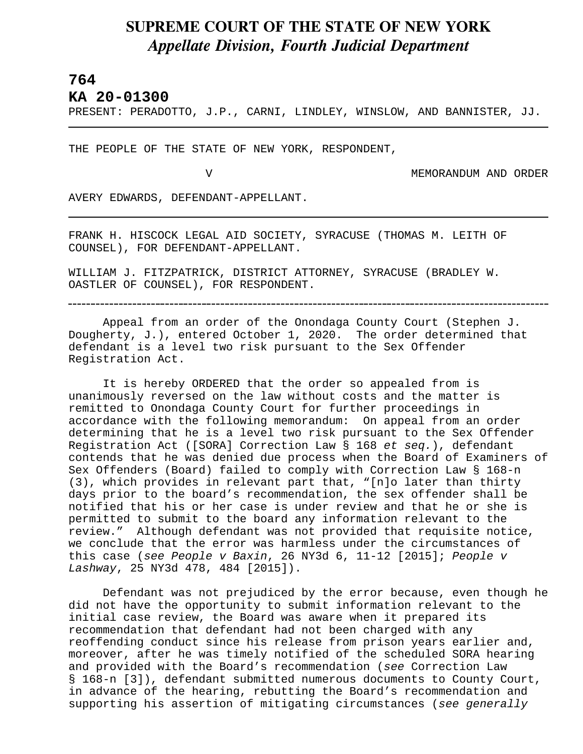## **SUPREME COURT OF THE STATE OF NEW YORK** *Appellate Division, Fourth Judicial Department*

## **764**

L

**KA 20-01300** 

PRESENT: PERADOTTO, J.P., CARNI, LINDLEY, WINSLOW, AND BANNISTER, JJ.

THE PEOPLE OF THE STATE OF NEW YORK, RESPONDENT,

V MEMORANDUM AND ORDER

AVERY EDWARDS, DEFENDANT-APPELLANT.

FRANK H. HISCOCK LEGAL AID SOCIETY, SYRACUSE (THOMAS M. LEITH OF COUNSEL), FOR DEFENDANT-APPELLANT.

WILLIAM J. FITZPATRICK, DISTRICT ATTORNEY, SYRACUSE (BRADLEY W. OASTLER OF COUNSEL), FOR RESPONDENT.

Appeal from an order of the Onondaga County Court (Stephen J. Dougherty, J.), entered October 1, 2020. The order determined that defendant is a level two risk pursuant to the Sex Offender Registration Act.

It is hereby ORDERED that the order so appealed from is unanimously reversed on the law without costs and the matter is remitted to Onondaga County Court for further proceedings in accordance with the following memorandum: On appeal from an order determining that he is a level two risk pursuant to the Sex Offender Registration Act ([SORA] Correction Law § 168 *et seq.*), defendant contends that he was denied due process when the Board of Examiners of Sex Offenders (Board) failed to comply with Correction Law § 168-n (3), which provides in relevant part that, "[n]o later than thirty days prior to the board's recommendation, the sex offender shall be notified that his or her case is under review and that he or she is permitted to submit to the board any information relevant to the review." Although defendant was not provided that requisite notice, we conclude that the error was harmless under the circumstances of this case (*see People v Baxin*, 26 NY3d 6, 11-12 [2015]; *People v Lashway*, 25 NY3d 478, 484 [2015]).

Defendant was not prejudiced by the error because, even though he did not have the opportunity to submit information relevant to the initial case review, the Board was aware when it prepared its recommendation that defendant had not been charged with any reoffending conduct since his release from prison years earlier and, moreover, after he was timely notified of the scheduled SORA hearing and provided with the Board's recommendation (*see* Correction Law § 168-n [3]), defendant submitted numerous documents to County Court, in advance of the hearing, rebutting the Board's recommendation and supporting his assertion of mitigating circumstances (*see generally*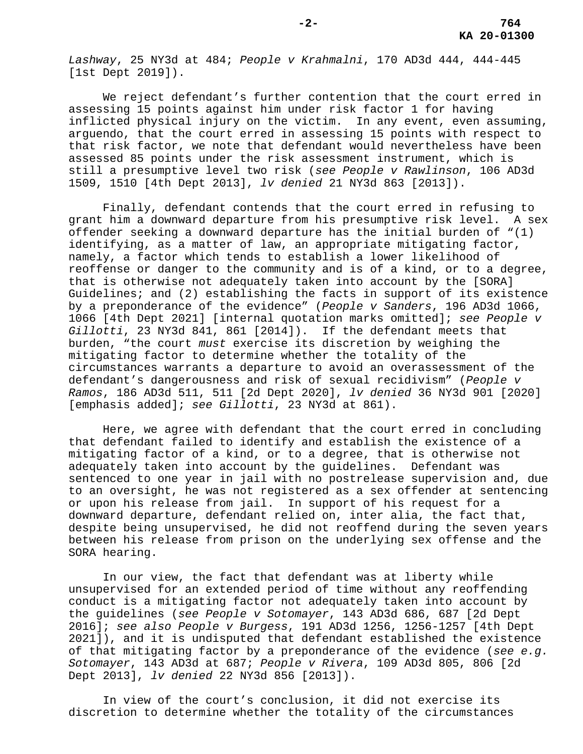*Lashway*, 25 NY3d at 484; *People v Krahmalni*, 170 AD3d 444, 444-445 [1st Dept 2019]).

We reject defendant's further contention that the court erred in assessing 15 points against him under risk factor 1 for having inflicted physical injury on the victim. In any event, even assuming, arguendo, that the court erred in assessing 15 points with respect to that risk factor, we note that defendant would nevertheless have been assessed 85 points under the risk assessment instrument, which is still a presumptive level two risk (*see People v Rawlinson*, 106 AD3d 1509, 1510 [4th Dept 2013], *lv denied* 21 NY3d 863 [2013]).

Finally, defendant contends that the court erred in refusing to grant him a downward departure from his presumptive risk level. A sex offender seeking a downward departure has the initial burden of "(1) identifying, as a matter of law, an appropriate mitigating factor, namely, a factor which tends to establish a lower likelihood of reoffense or danger to the community and is of a kind, or to a degree, that is otherwise not adequately taken into account by the [SORA] Guidelines; and (2) establishing the facts in support of its existence by a preponderance of the evidence" (*People v Sanders*, 196 AD3d 1066, 1066 [4th Dept 2021] [internal quotation marks omitted]; *see People v Gillotti*, 23 NY3d 841, 861 [2014]). If the defendant meets that burden, "the court *must* exercise its discretion by weighing the mitigating factor to determine whether the totality of the circumstances warrants a departure to avoid an overassessment of the defendant's dangerousness and risk of sexual recidivism" (*People v Ramos*, 186 AD3d 511, 511 [2d Dept 2020], *lv denied* 36 NY3d 901 [2020] [emphasis added]; *see Gillotti*, 23 NY3d at 861).

Here, we agree with defendant that the court erred in concluding that defendant failed to identify and establish the existence of a mitigating factor of a kind, or to a degree, that is otherwise not adequately taken into account by the guidelines. Defendant was sentenced to one year in jail with no postrelease supervision and, due to an oversight, he was not registered as a sex offender at sentencing or upon his release from jail. In support of his request for a downward departure, defendant relied on, inter alia, the fact that, despite being unsupervised, he did not reoffend during the seven years between his release from prison on the underlying sex offense and the SORA hearing.

In our view, the fact that defendant was at liberty while unsupervised for an extended period of time without any reoffending conduct is a mitigating factor not adequately taken into account by the guidelines (*see People v Sotomayer*, 143 AD3d 686, 687 [2d Dept 2016]; *see also People v Burgess*, 191 AD3d 1256, 1256-1257 [4th Dept 2021]), and it is undisputed that defendant established the existence of that mitigating factor by a preponderance of the evidence (*see e.g. Sotomayer*, 143 AD3d at 687; *People v Rivera*, 109 AD3d 805, 806 [2d Dept 2013], *lv denied* 22 NY3d 856 [2013]).

In view of the court's conclusion, it did not exercise its discretion to determine whether the totality of the circumstances